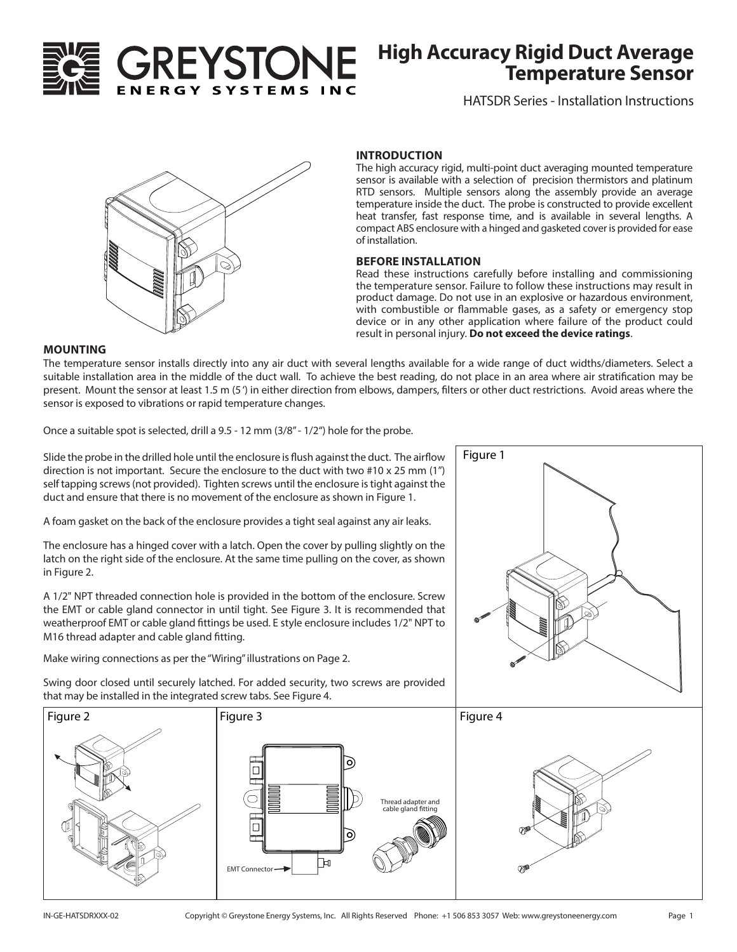

# **High Accuracy Rigid Duct Average Temperature Sensor**

HATSDR Series - Installation Instructions



#### **INTRODUCTION**

The high accuracy rigid, multi-point duct averaging mounted temperature sensor is available with a selection of precision thermistors and platinum RTD sensors. Multiple sensors along the assembly provide an average temperature inside the duct. The probe is constructed to provide excellent heat transfer, fast response time, and is available in several lengths. A compact ABS enclosure with a hinged and gasketed cover is provided for ease of installation.

#### **BEFORE INSTALLATION**

Read these instructions carefully before installing and commissioning the temperature sensor. Failure to follow these instructions may result in product damage. Do not use in an explosive or hazardous environment, with combustible or flammable gases, as a safety or emergency stop device or in any other application where failure of the product could result in personal injury. **Do not exceed the device ratings**.

Figure 1

#### **MOUNTING**

The temperature sensor installs directly into any air duct with several lengths available for a wide range of duct widths/diameters. Select a suitable installation area in the middle of the duct wall. To achieve the best reading, do not place in an area where air stratification may be present. Mount the sensor at least 1.5 m (5 ') in either direction from elbows, dampers, filters or other duct restrictions. Avoid areas where the sensor is exposed to vibrations or rapid temperature changes.

Once a suitable spot is selected, drill a 9.5 - 12 mm (3/8" - 1/2") hole for the probe.

Slide the probe in the drilled hole until the enclosure is flush against the duct. The airflow direction is not important. Secure the enclosure to the duct with two #10 x 25 mm (1") self tapping screws (not provided). Tighten screws until the enclosure is tight against the duct and ensure that there is no movement of the enclosure as shown in Figure 1.

A foam gasket on the back of the enclosure provides a tight seal against any air leaks.

The enclosure has a hinged cover with a latch. Open the cover by pulling slightly on the latch on the right side of the enclosure. At the same time pulling on the cover, as shown in Figure 2.

A 1/2" NPT threaded connection hole is provided in the bottom of the enclosure. Screw the EMT or cable gland connector in until tight. See Figure 3. It is recommended that weatherproof EMT or cable gland fittings be used. E style enclosure includes 1/2" NPT to M16 thread adapter and cable gland fitting.

Make wiring connections as per the "Wiring" illustrations on Page 2.



Swing door closed until securely latched. For added security, two screws are provided that may be installed in the integrated screw tabs. See Figure 4.

**EMT Connector** 

 $\Box$ 

Гн

Thread adapter and cable gland fitting